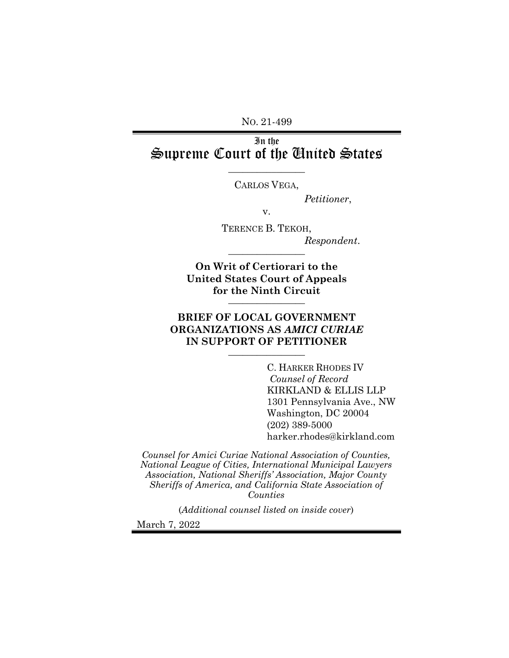NO. 21-499

# In the Supreme Court of the United States

 $\overline{\phantom{a}}$  , where  $\overline{\phantom{a}}$ CARLOS VEGA,

*Petitioner*,

v.

TERENCE B. TEKOH, *Respondent*. \_\_\_\_\_\_\_\_\_\_\_\_\_\_\_\_

**On Writ of Certiorari to the United States Court of Appeals**  for the Ninth Circuit

## **BRIEF OF LOCAL GOVERNMENT ORGANIZATIONS AS** *AMICI CURIAE* IN SUPPORT OF PETITIONER

C. HARKER RHODES IV *Counsel of Record* KIRKLAND & ELLIS LLP 1301 Pennsylvania Ave., NW Washington, DC 20004 (202) 389-5000 [harker.rhodes@kirkland.com](mailto:harker.rhodes@kirkland.com)

*Counsel for Amici Curiae National Association of Counties, National League of Cities, International Municipal Lawyers Association, National Sheriffs' Association, Major County Sheriffs of America, and California State Association of Counties*

(*Additional counsel listed on inside cover*)

March 7, 2022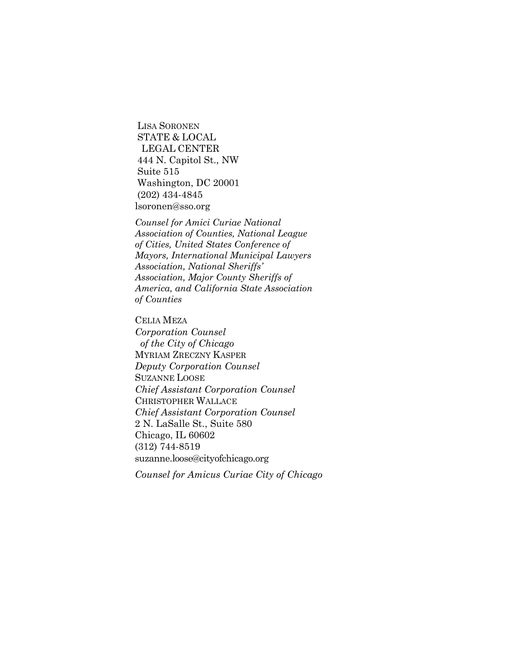LISA SORONEN STATE & LOCAL LEGAL CENTER 444 N. Capitol St., NW Suite 515 Washington, DC 20001 (202) 434-4845 lsoronen@sso.org

*Counsel for Amici Curiae National Association of Counties, National League of Cities, United States Conference of Mayors, International Municipal Lawyers Association, National Sheriffs' Association, Major County Sheriffs of America, and California State Association of Counties*

CELIA MEZA *Corporation Counsel of the City of Chicago* MYRIAM ZRECZNY KASPER *Deputy Corporation Counsel* SUZANNE LOOSE *Chief Assistant Corporation Counsel* CHRISTOPHER WALLACE *Chief Assistant Corporation Counsel* 2 N. LaSalle St., Suite 580 Chicago, IL 60602 (312) 744-8519 [suzanne.loose@cityofchicago.org](mailto:suzanne.loose@cityofchicago.org)

*Counsel for Amicus Curiae City of Chicago*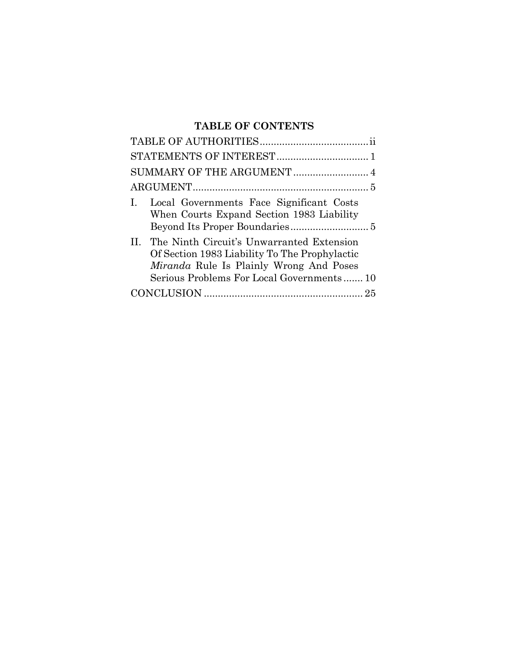# **TABLE OF CONTENTS**

| Ι.      | Local Governments Face Significant Costs<br>When Courts Expand Section 1983 Liability                                                                                              |  |  |
|---------|------------------------------------------------------------------------------------------------------------------------------------------------------------------------------------|--|--|
| $\Pi$ . | The Ninth Circuit's Unwarranted Extension<br>Of Section 1983 Liability To The Prophylactic<br>Miranda Rule Is Plainly Wrong And Poses<br>Serious Problems For Local Governments 10 |  |  |
|         |                                                                                                                                                                                    |  |  |
|         |                                                                                                                                                                                    |  |  |
|         |                                                                                                                                                                                    |  |  |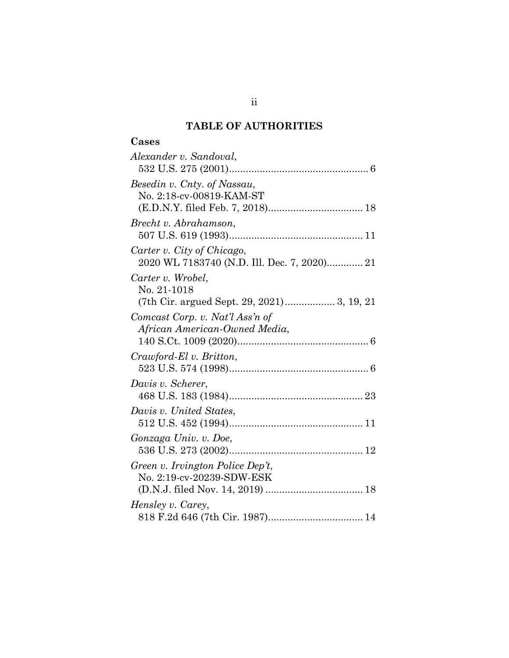## **TABLE OF AUTHORITIES**

# **Cases**

| Alexander v. Sandoval,                                                    |
|---------------------------------------------------------------------------|
| Besedin v. Cnty. of Nassau,<br>No. 2:18-cv-00819-KAM-ST                   |
| Brecht v. Abrahamson,                                                     |
| Carter v. City of Chicago,<br>2020 WL 7183740 (N.D. Ill. Dec. 7, 2020) 21 |
| Carter v. Wrobel,<br>No. 21-1018                                          |
| Comcast Corp. v. Nat'l Ass'n of<br>African American-Owned Media,          |
| Crawford-El v. Britton,                                                   |
| Davis v. Scherer,                                                         |
| Davis v. United States,                                                   |
| Gonzaga Univ. v. Doe,                                                     |
| Green v. Irvington Police Dep't,<br>No. 2:19-cv-20239-SDW-ESK             |
| Hensley v. Carey,                                                         |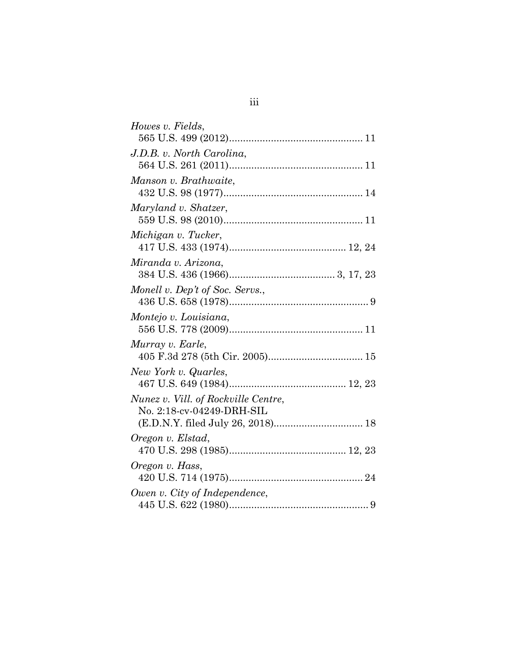| Howes v. Fields,                    |
|-------------------------------------|
|                                     |
| J.D.B. v. North Carolina,           |
|                                     |
| Manson v. Brathwaite,               |
|                                     |
| Maryland v. Shatzer,                |
|                                     |
| Michigan v. Tucker,                 |
|                                     |
| Miranda v. Arizona,                 |
|                                     |
| Monell v. Dep't of Soc. Servs.,     |
|                                     |
| Montejo v. Louisiana,               |
|                                     |
| Murray v. Earle,                    |
|                                     |
| New York v. Quarles,                |
|                                     |
| Nunez v. Vill. of Rockville Centre, |
| No. 2:18-cv-04249-DRH-SIL           |
| (E.D.N.Y. filed July 26, 2018) 18   |
| Oregon v. Elstad,                   |
|                                     |
| Oregon v. Hass,                     |
|                                     |
| Owen v. City of Independence,       |
|                                     |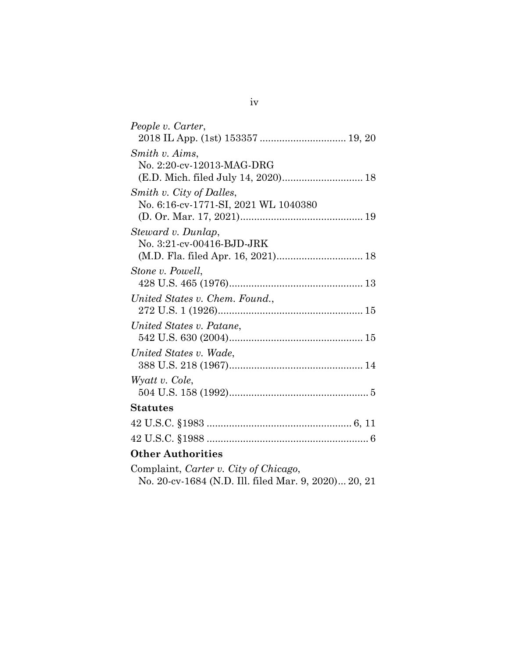| People v. Carter,                    |  |  |  |
|--------------------------------------|--|--|--|
| Smith v. Aims.                       |  |  |  |
| No. 2:20-cv-12013-MAG-DRG            |  |  |  |
|                                      |  |  |  |
| Smith v. City of Dalles,             |  |  |  |
| No. 6:16-cv-1771-SI, 2021 WL 1040380 |  |  |  |
|                                      |  |  |  |
| Steward v. Dunlap,                   |  |  |  |
| No. 3:21-cv-00416-BJD-JRK            |  |  |  |
| (M.D. Fla. filed Apr. 16, 2021) 18   |  |  |  |
| Stone v. Powell,                     |  |  |  |
|                                      |  |  |  |
| United States v. Chem. Found.,       |  |  |  |
|                                      |  |  |  |
| United States v. Patane,             |  |  |  |
|                                      |  |  |  |
| United States v. Wade,               |  |  |  |
|                                      |  |  |  |
| Wyatt v. Cole,                       |  |  |  |
|                                      |  |  |  |
| <b>Statutes</b>                      |  |  |  |
|                                      |  |  |  |
|                                      |  |  |  |
| <b>Other Authorities</b>             |  |  |  |

Complaint, *Carter v. City of Chicago*, No. 20-cv-1684 (N.D. Ill. filed Mar. 9, 2020)... 20, 21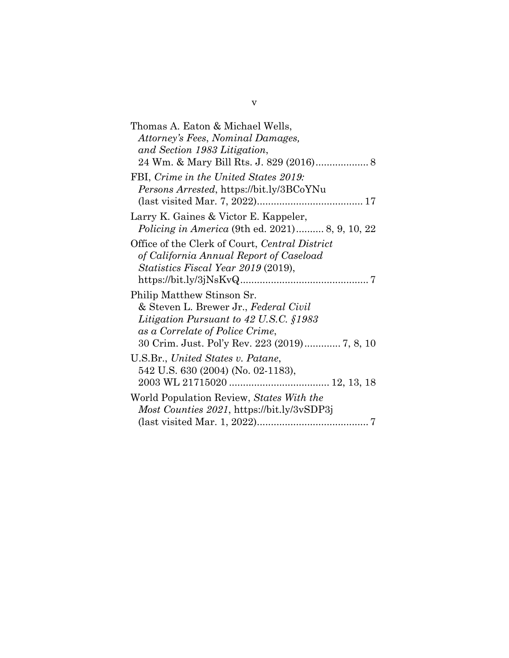v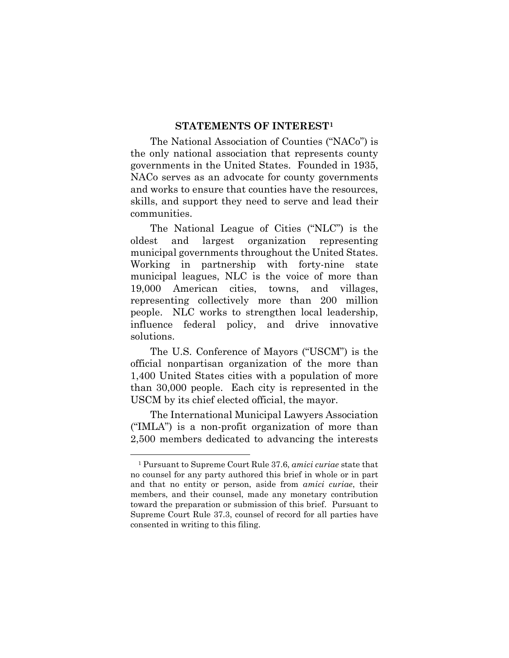### **STATEMENTS OF INTEREST[1](#page-7-0)**

The National Association of Counties ("NACo") is the only national association that represents county governments in the United States. Founded in 1935, NACo serves as an advocate for county governments and works to ensure that counties have the resources, skills, and support they need to serve and lead their communities.

The National League of Cities ("NLC") is the oldest and largest organization representing municipal governments throughout the United States. Working in partnership with forty-nine state municipal leagues, NLC is the voice of more than 19,000 American cities, towns, and villages, representing collectively more than 200 million people. NLC works to strengthen local leadership, influence federal policy, and drive innovative solutions.

The U.S. Conference of Mayors ("USCM") is the official nonpartisan organization of the more than 1,400 United States cities with a population of more than 30,000 people. Each city is represented in the USCM by its chief elected official, the mayor.

The International Municipal Lawyers Association ("IMLA") is a non-profit organization of more than 2,500 members dedicated to advancing the interests

<u>.</u>

<span id="page-7-0"></span><sup>1</sup> Pursuant to Supreme Court Rule 37.6, *amici curiae* state that no counsel for any party authored this brief in whole or in part and that no entity or person, aside from *amici curiae*, their members, and their counsel, made any monetary contribution toward the preparation or submission of this brief. Pursuant to Supreme Court Rule 37.3, counsel of record for all parties have consented in writing to this filing.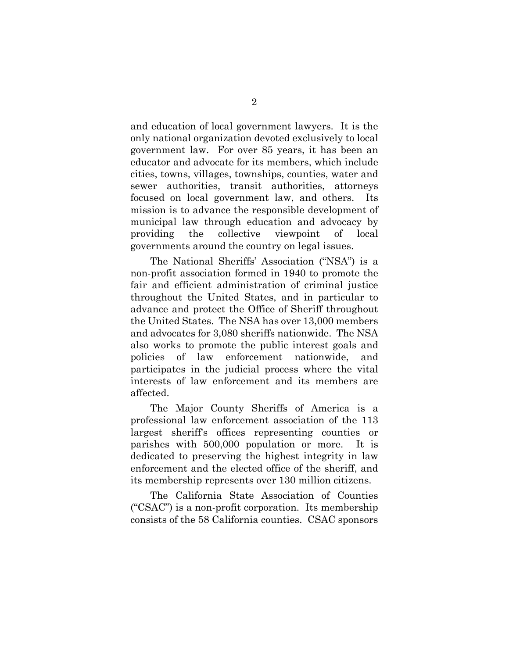and education of local government lawyers. It is the only national organization devoted exclusively to local government law. For over 85 years, it has been an educator and advocate for its members, which include cities, towns, villages, townships, counties, water and sewer authorities, transit authorities, attorneys focused on local government law, and others. Its mission is to advance the responsible development of municipal law through education and advocacy by providing the collective viewpoint of local governments around the country on legal issues.

The National Sheriffs' Association ("NSA") is a non-profit association formed in 1940 to promote the fair and efficient administration of criminal justice throughout the United States, and in particular to advance and protect the Office of Sheriff throughout the United States. The NSA has over 13,000 members and advocates for 3,080 sheriffs nationwide. The NSA also works to promote the public interest goals and policies of law enforcement nationwide, and participates in the judicial process where the vital interests of law enforcement and its members are affected.

The Major County Sheriffs of America is a professional law enforcement association of the 113 largest sheriff's offices representing counties or parishes with 500,000 population or more. It is dedicated to preserving the highest integrity in law enforcement and the elected office of the sheriff, and its membership represents over 130 million citizens.

The California State Association of Counties ("CSAC") is a non-profit corporation. Its membership consists of the 58 California counties. CSAC sponsors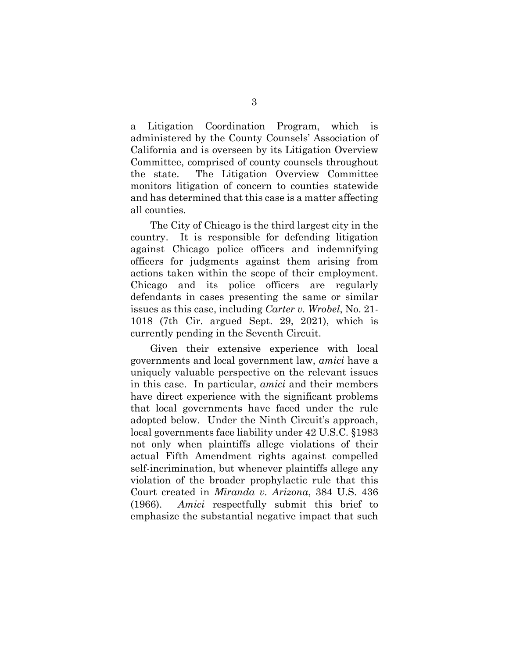a Litigation Coordination Program, which is administered by the County Counsels' Association of California and is overseen by its Litigation Overview Committee, comprised of county counsels throughout the state. The Litigation Overview Committee monitors litigation of concern to counties statewide and has determined that this case is a matter affecting all counties.

The City of Chicago is the third largest city in the country. It is responsible for defending litigation against Chicago police officers and indemnifying officers for judgments against them arising from actions taken within the scope of their employment. Chicago and its police officers are regularly defendants in cases presenting the same or similar issues as this case, including *Carter v. Wrobel*, No. 21- 1018 (7th Cir. argued Sept. 29, 2021), which is currently pending in the Seventh Circuit.

Given their extensive experience with local governments and local government law, *amici* have a uniquely valuable perspective on the relevant issues in this case. In particular, *amici* and their members have direct experience with the significant problems that local governments have faced under the rule adopted below. Under the Ninth Circuit's approach, local governments face liability under 42 U.S.C. §1983 not only when plaintiffs allege violations of their actual Fifth Amendment rights against compelled self-incrimination, but whenever plaintiffs allege any violation of the broader prophylactic rule that this Court created in *Miranda v. Arizona*, 384 U.S. 436 (1966). *Amici* respectfully submit this brief to emphasize the substantial negative impact that such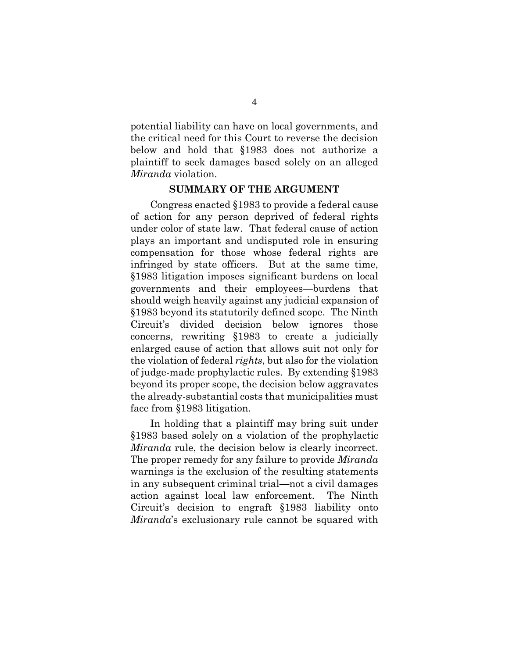potential liability can have on local governments, and the critical need for this Court to reverse the decision below and hold that §1983 does not authorize a plaintiff to seek damages based solely on an alleged *Miranda* violation.

## **SUMMARY OF THE ARGUMENT**

Congress enacted §1983 to provide a federal cause of action for any person deprived of federal rights under color of state law. That federal cause of action plays an important and undisputed role in ensuring compensation for those whose federal rights are infringed by state officers. But at the same time, §1983 litigation imposes significant burdens on local governments and their employees—burdens that should weigh heavily against any judicial expansion of §1983 beyond its statutorily defined scope. The Ninth Circuit's divided decision below ignores those concerns, rewriting §1983 to create a judicially enlarged cause of action that allows suit not only for the violation of federal *rights*, but also for the violation of judge-made prophylactic rules. By extending §1983 beyond its proper scope, the decision below aggravates the already-substantial costs that municipalities must face from §1983 litigation.

In holding that a plaintiff may bring suit under §1983 based solely on a violation of the prophylactic *Miranda* rule, the decision below is clearly incorrect. The proper remedy for any failure to provide *Miranda* warnings is the exclusion of the resulting statements in any subsequent criminal trial—not a civil damages action against local law enforcement. The Ninth Circuit's decision to engraft §1983 liability onto *Miranda*'s exclusionary rule cannot be squared with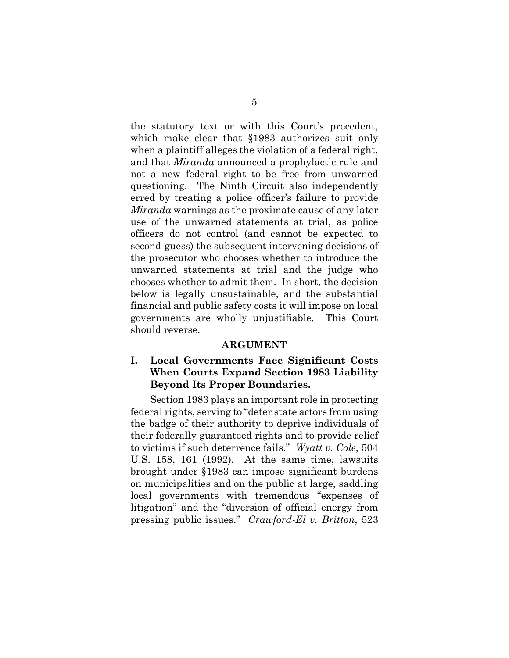the statutory text or with this Court's precedent, which make clear that §1983 authorizes suit only when a plaintiff alleges the violation of a federal right, and that *Miranda* announced a prophylactic rule and not a new federal right to be free from unwarned questioning. The Ninth Circuit also independently erred by treating a police officer's failure to provide *Miranda* warnings as the proximate cause of any later use of the unwarned statements at trial, as police officers do not control (and cannot be expected to second-guess) the subsequent intervening decisions of the prosecutor who chooses whether to introduce the unwarned statements at trial and the judge who chooses whether to admit them. In short, the decision below is legally unsustainable, and the substantial financial and public safety costs it will impose on local governments are wholly unjustifiable. This Court should reverse.

### **ARGUMENT**

## **I. Local Governments Face Significant Costs When Courts Expand Section 1983 Liability Beyond Its Proper Boundaries.**

Section 1983 plays an important role in protecting federal rights, serving to "deter state actors from using the badge of their authority to deprive individuals of their federally guaranteed rights and to provide relief to victims if such deterrence fails." *Wyatt v. Cole*, 504 U.S. 158, 161 (1992). At the same time, lawsuits brought under §1983 can impose significant burdens on municipalities and on the public at large, saddling local governments with tremendous "expenses of litigation" and the "diversion of official energy from pressing public issues." *Crawford-El v. Britton*, 523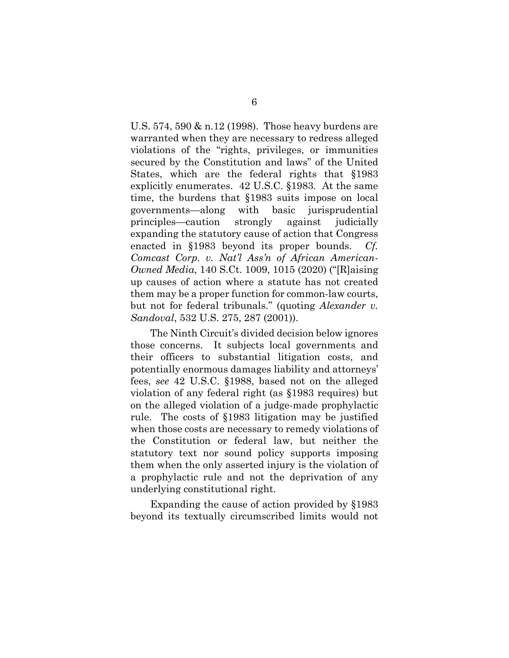U.S. 574, 590 & n.12 (1998). Those heavy burdens are warranted when they are necessary to redress alleged violations of the "rights, privileges, or immunities secured by the Constitution and laws" of the United States, which are the federal rights that §1983 explicitly enumerates. 42 U.S.C. §1983. At the same time, the burdens that §1983 suits impose on local governments—along with basic jurisprudential principles—caution strongly against judicially expanding the statutory cause of action that Congress enacted in §1983 beyond its proper bounds. *Cf. Comcast Corp. v. Nat'l Ass'n of African American-Owned Media*, 140 S.Ct. 1009, 1015 (2020) ("[R]aising up causes of action where a statute has not created them may be a proper function for common-law courts, but not for federal tribunals." (quoting *Alexander v. Sandoval*, 532 U.S. 275, 287 (2001)).

The Ninth Circuit's divided decision below ignores those concerns. It subjects local governments and their officers to substantial litigation costs, and potentially enormous damages liability and attorneys' fees, *see* 42 U.S.C. §1988, based not on the alleged violation of any federal right (as §1983 requires) but on the alleged violation of a judge-made prophylactic rule. The costs of §1983 litigation may be justified when those costs are necessary to remedy violations of the Constitution or federal law, but neither the statutory text nor sound policy supports imposing them when the only asserted injury is the violation of a prophylactic rule and not the deprivation of any underlying constitutional right.

Expanding the cause of action provided by §1983 beyond its textually circumscribed limits would not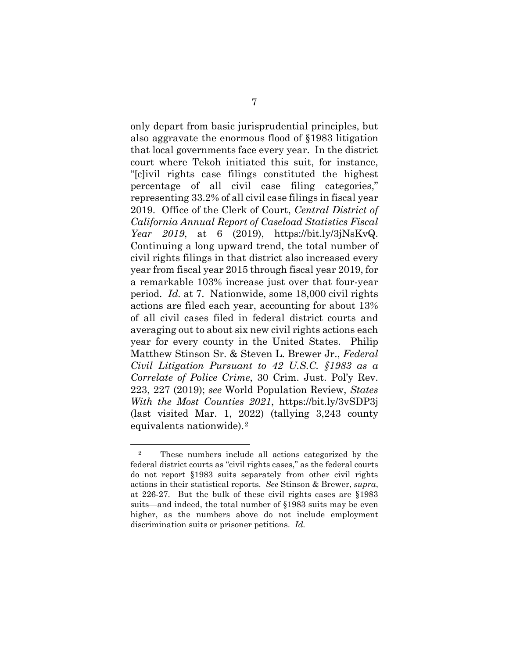only depart from basic jurisprudential principles, but also aggravate the enormous flood of §1983 litigation that local governments face every year. In the district court where Tekoh initiated this suit, for instance, "[c]ivil rights case filings constituted the highest percentage of all civil case filing categories," representing 33.2% of all civil case filings in fiscal year 2019. Office of the Clerk of Court, *Central District of California Annual Report of Caseload Statistics Fiscal Year 2019*, at 6 (2019), https://bit.ly/3jNsKvQ. Continuing a long upward trend, the total number of civil rights filings in that district also increased every year from fiscal year 2015 through fiscal year 2019, for a remarkable 103% increase just over that four-year period. *Id.* at 7. Nationwide, some 18,000 civil rights actions are filed each year, accounting for about 13% of all civil cases filed in federal district courts and averaging out to about six new civil rights actions each year for every county in the United States. Philip Matthew Stinson Sr. & Steven L. Brewer Jr., *Federal Civil Litigation Pursuant to 42 U.S.C. §1983 as a Correlate of Police Crime*, 30 Crim. Just. Pol'y Rev. 223, 227 (2019); *see* World Population Review, *States With the Most Counties 2021*, https://bit.ly/3vSDP3j (last visited Mar. 1, 2022) (tallying 3,243 county equivalents nationwide).[2](#page-14-0)

<u>.</u>

<sup>2</sup> These numbers include all actions categorized by the federal district courts as "civil rights cases," as the federal courts do not report §1983 suits separately from other civil rights actions in their statistical reports. *See* Stinson & Brewer, *supra*, at 226-27. But the bulk of these civil rights cases are §1983 suits—and indeed, the total number of §1983 suits may be even higher, as the numbers above do not include employment discrimination suits or prisoner petitions. *Id.*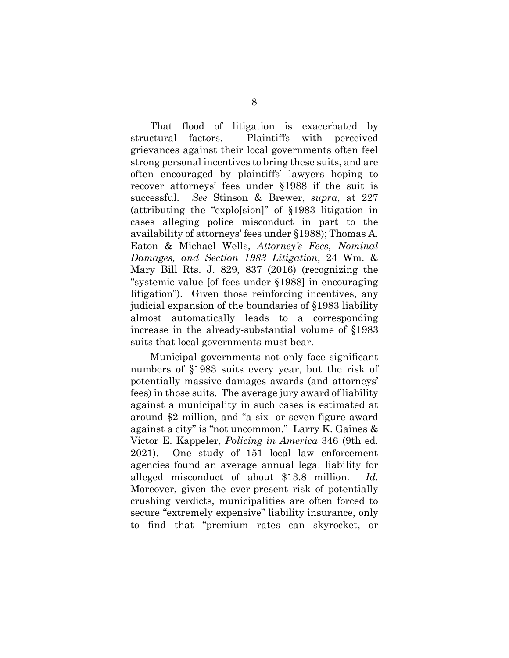That flood of litigation is exacerbated by structural factors. Plaintiffs with perceived grievances against their local governments often feel strong personal incentives to bring these suits, and are often encouraged by plaintiffs' lawyers hoping to recover attorneys' fees under §1988 if the suit is successful. *See* Stinson & Brewer, *supra*, at 227 (attributing the "explo[sion]" of §1983 litigation in cases alleging police misconduct in part to the availability of attorneys' fees under §1988); Thomas A. Eaton & Michael Wells, *Attorney's Fees*, *Nominal Damages, and Section 1983 Litigation*, 24 Wm. & Mary Bill Rts. J. 829, 837 (2016) (recognizing the "systemic value [of fees under §1988] in encouraging litigation"). Given those reinforcing incentives, any judicial expansion of the boundaries of §1983 liability almost automatically leads to a corresponding increase in the already-substantial volume of §1983 suits that local governments must bear.

<span id="page-14-0"></span>Municipal governments not only face significant numbers of §1983 suits every year, but the risk of potentially massive damages awards (and attorneys' fees) in those suits. The average jury award of liability against a municipality in such cases is estimated at around \$2 million, and "a six- or seven-figure award against a city" is "not uncommon." Larry K. Gaines & Victor E. Kappeler, *Policing in America* 346 (9th ed. 2021). One study of 151 local law enforcement agencies found an average annual legal liability for alleged misconduct of about \$13.8 million. *Id.* Moreover, given the ever-present risk of potentially crushing verdicts, municipalities are often forced to secure "extremely expensive" liability insurance, only to find that "premium rates can skyrocket, or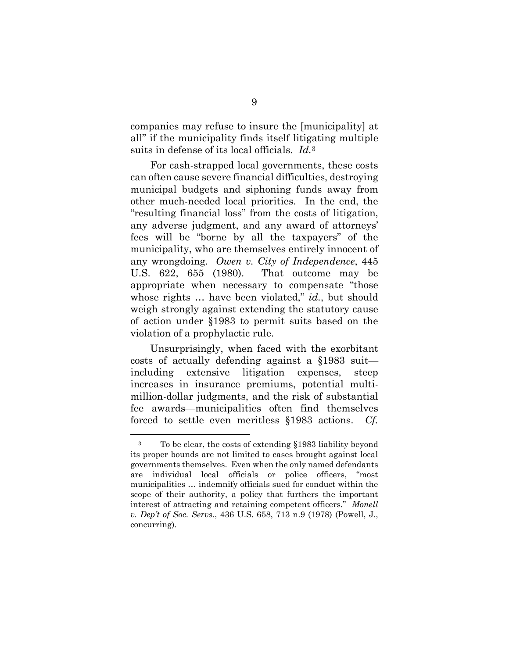companies may refuse to insure the [municipality] at all" if the municipality finds itself litigating multiple suits in defense of its local officials. *Id.*[3](#page-16-0)

For cash-strapped local governments, these costs can often cause severe financial difficulties, destroying municipal budgets and siphoning funds away from other much-needed local priorities. In the end, the "resulting financial loss" from the costs of litigation, any adverse judgment, and any award of attorneys' fees will be "borne by all the taxpayers" of the municipality, who are themselves entirely innocent of any wrongdoing. *Owen v. City of Independence*, 445 U.S. 622, 655 (1980). That outcome may be appropriate when necessary to compensate "those whose rights … have been violated," *id.*, but should weigh strongly against extending the statutory cause of action under §1983 to permit suits based on the violation of a prophylactic rule.

Unsurprisingly, when faced with the exorbitant costs of actually defending against a §1983 suit including extensive litigation expenses, steep increases in insurance premiums, potential multimillion-dollar judgments, and the risk of substantial fee awards—municipalities often find themselves forced to settle even meritless §1983 actions. *Cf.* 

<u>.</u>

<sup>3</sup> To be clear, the costs of extending §1983 liability beyond its proper bounds are not limited to cases brought against local governments themselves. Even when the only named defendants are individual local officials or police officers, "most municipalities … indemnify officials sued for conduct within the scope of their authority, a policy that furthers the important interest of attracting and retaining competent officers." *Monell v. Dep't of Soc. Servs.*, 436 U.S. 658, 713 n.9 (1978) (Powell, J., concurring).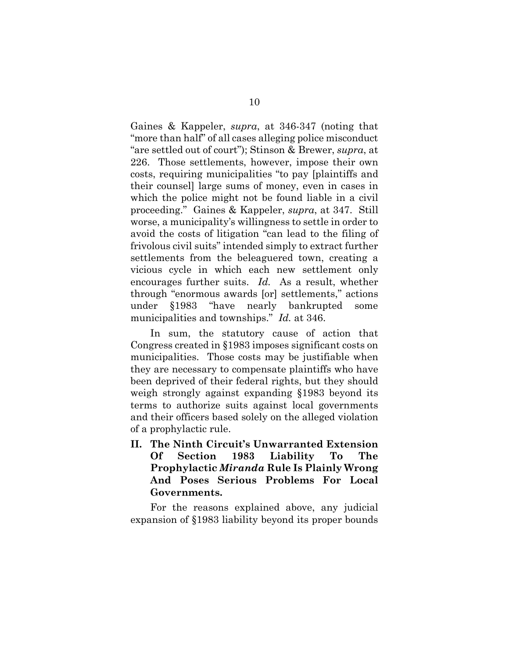Gaines & Kappeler, *supra*, at 346-347 (noting that "more than half" of all cases alleging police misconduct "are settled out of court"); Stinson & Brewer, *supra*, at 226. Those settlements, however, impose their own costs, requiring municipalities "to pay [plaintiffs and their counsel] large sums of money, even in cases in which the police might not be found liable in a civil proceeding." Gaines & Kappeler, *supra*, at 347. Still worse, a municipality's willingness to settle in order to avoid the costs of litigation "can lead to the filing of frivolous civil suits" intended simply to extract further settlements from the beleaguered town, creating a vicious cycle in which each new settlement only encourages further suits. *Id.* As a result, whether through "enormous awards [or] settlements," actions under §1983 "have nearly bankrupted some municipalities and townships." *Id.* at 346.

In sum, the statutory cause of action that Congress created in §1983 imposes significant costs on municipalities. Those costs may be justifiable when they are necessary to compensate plaintiffs who have been deprived of their federal rights, but they should weigh strongly against expanding §1983 beyond its terms to authorize suits against local governments and their officers based solely on the alleged violation of a prophylactic rule.

<span id="page-16-0"></span>**II. The Ninth Circuit's Unwarranted Extension Of Section 1983 Liability To The Prophylactic** *Miranda* **Rule Is Plainly Wrong And Poses Serious Problems For Local Governments.**

For the reasons explained above, any judicial expansion of §1983 liability beyond its proper bounds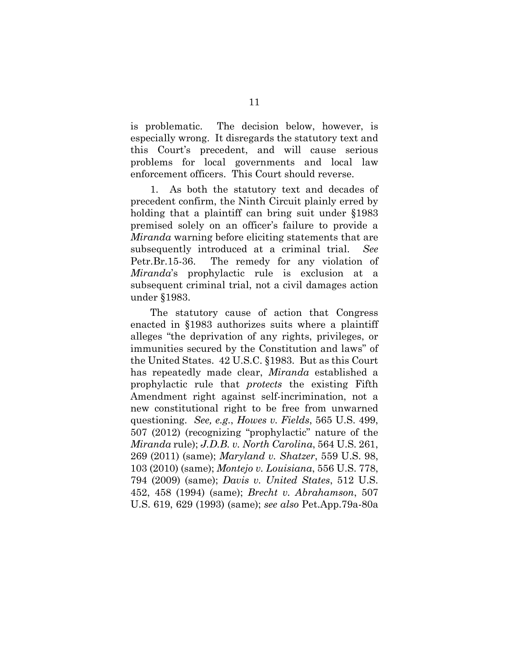is problematic. The decision below, however, is especially wrong. It disregards the statutory text and this Court's precedent, and will cause serious problems for local governments and local law enforcement officers. This Court should reverse.

1. As both the statutory text and decades of precedent confirm, the Ninth Circuit plainly erred by holding that a plaintiff can bring suit under §1983 premised solely on an officer's failure to provide a *Miranda* warning before eliciting statements that are subsequently introduced at a criminal trial. *See*  Petr.Br.15-36. The remedy for any violation of *Miranda*'s prophylactic rule is exclusion at a subsequent criminal trial, not a civil damages action under §1983.

The statutory cause of action that Congress enacted in §1983 authorizes suits where a plaintiff alleges "the deprivation of any rights, privileges, or immunities secured by the Constitution and laws" of the United States. 42 U.S.C. §1983. But as this Court has repeatedly made clear, *Miranda* established a prophylactic rule that *protects* the existing Fifth Amendment right against self-incrimination, not a new constitutional right to be free from unwarned questioning. *See, e.g.*, *Howes v. Fields*, 565 U.S. 499, 507 (2012) (recognizing "prophylactic" nature of the *Miranda* rule); *J.D.B. v. North Carolina*, 564 U.S. 261, 269 (2011) (same); *Maryland v. Shatzer*, 559 U.S. 98, 103 (2010) (same); *Montejo v. Louisiana*, 556 U.S. 778, 794 (2009) (same); *Davis v. United States*, 512 U.S. 452, 458 (1994) (same); *Brecht v. Abrahamson*, 507 U.S. 619, 629 (1993) (same); *see also* Pet.App.79a-80a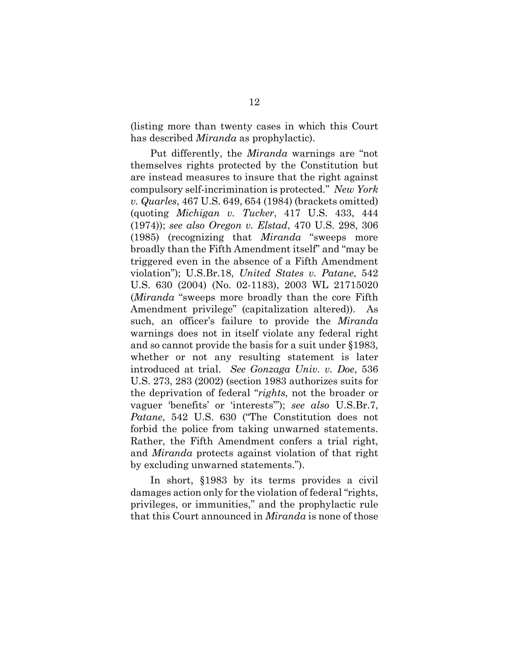(listing more than twenty cases in which this Court has described *Miranda* as prophylactic).

Put differently, the *Miranda* warnings are "not themselves rights protected by the Constitution but are instead measures to insure that the right against compulsory self-incrimination is protected." *New York v. Quarles*, 467 U.S. 649, 654 (1984) (brackets omitted) (quoting *Michigan v. Tucker*, 417 U.S. 433, 444 (1974)); *see also Oregon v. Elstad*, 470 U.S. 298, 306 (1985) (recognizing that *Miranda* "sweeps more broadly than the Fifth Amendment itself" and "may be triggered even in the absence of a Fifth Amendment violation"); U.S.Br.18, *United States v. Patane*, 542 U.S. 630 (2004) (No. 02-1183), 2003 WL 21715020 (*Miranda* "sweeps more broadly than the core Fifth Amendment privilege" (capitalization altered)). As such, an officer's failure to provide the *Miranda* warnings does not in itself violate any federal right and so cannot provide the basis for a suit under §1983, whether or not any resulting statement is later introduced at trial. *See Gonzaga Univ. v. Doe*, 536 U.S. 273, 283 (2002) (section 1983 authorizes suits for the deprivation of federal "*rights*, not the broader or vaguer 'benefits' or 'interests'"); *see also* U.S.Br.7, *Patane*, 542 U.S. 630 ("The Constitution does not forbid the police from taking unwarned statements. Rather, the Fifth Amendment confers a trial right, and *Miranda* protects against violation of that right by excluding unwarned statements.").

In short, §1983 by its terms provides a civil damages action only for the violation of federal "rights, privileges, or immunities," and the prophylactic rule that this Court announced in *Miranda* is none of those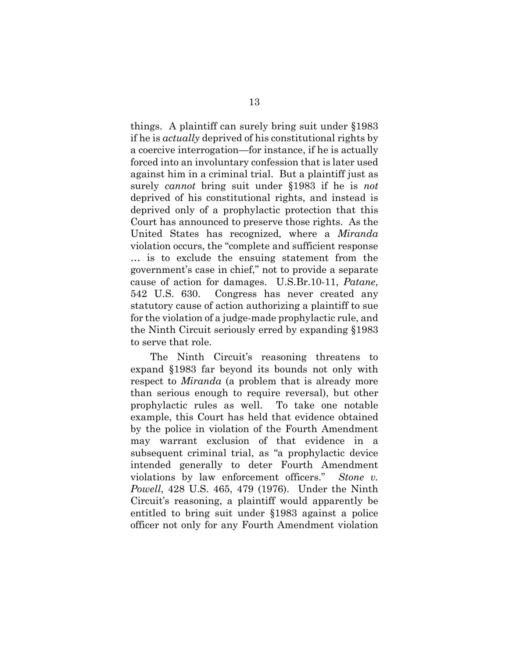things. A plaintiff can surely bring suit under §1983 if he is *actually* deprived of his constitutional rights by a coercive interrogation—for instance, if he is actually forced into an involuntary confession that is later used against him in a criminal trial. But a plaintiff just as surely *cannot* bring suit under §1983 if he is *not*  deprived of his constitutional rights, and instead is deprived only of a prophylactic protection that this Court has announced to preserve those rights. As the United States has recognized, where a *Miranda* violation occurs, the "complete and sufficient response … is to exclude the ensuing statement from the government's case in chief," not to provide a separate cause of action for damages. U.S.Br.10-11, *Patane*, 542 U.S. 630. Congress has never created any statutory cause of action authorizing a plaintiff to sue for the violation of a judge-made prophylactic rule, and the Ninth Circuit seriously erred by expanding §1983 to serve that role.

The Ninth Circuit's reasoning threatens to expand §1983 far beyond its bounds not only with respect to *Miranda* (a problem that is already more than serious enough to require reversal), but other prophylactic rules as well. To take one notable example, this Court has held that evidence obtained by the police in violation of the Fourth Amendment may warrant exclusion of that evidence in a subsequent criminal trial, as "a prophylactic device intended generally to deter Fourth Amendment violations by law enforcement officers." *Stone v. Powell*, 428 U.S. 465, 479 (1976). Under the Ninth Circuit's reasoning, a plaintiff would apparently be entitled to bring suit under §1983 against a police officer not only for any Fourth Amendment violation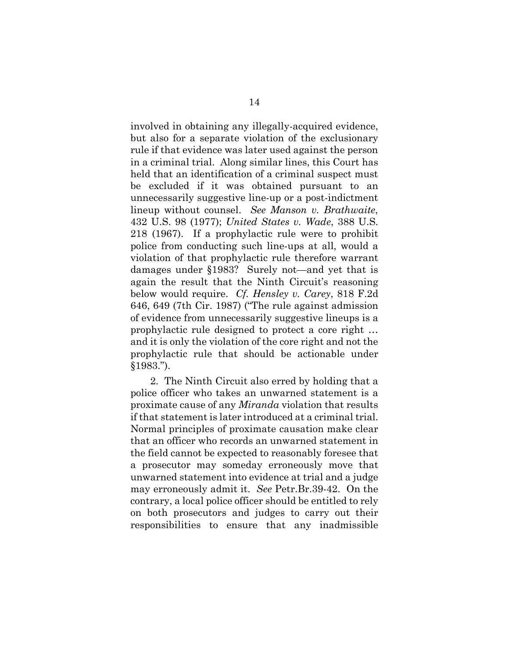involved in obtaining any illegally-acquired evidence, but also for a separate violation of the exclusionary rule if that evidence was later used against the person in a criminal trial. Along similar lines, this Court has held that an identification of a criminal suspect must be excluded if it was obtained pursuant to an unnecessarily suggestive line-up or a post-indictment lineup without counsel. *See Manson v. Brathwaite*, 432 U.S. 98 (1977); *United States v. Wade*, 388 U.S. 218 (1967). If a prophylactic rule were to prohibit police from conducting such line-ups at all, would a violation of that prophylactic rule therefore warrant damages under §1983? Surely not—and yet that is again the result that the Ninth Circuit's reasoning below would require. *Cf. Hensley v. Carey*, 818 F.2d 646, 649 (7th Cir. 1987) ("The rule against admission of evidence from unnecessarily suggestive lineups is a prophylactic rule designed to protect a core right … and it is only the violation of the core right and not the prophylactic rule that should be actionable under §1983.").

2. The Ninth Circuit also erred by holding that a police officer who takes an unwarned statement is a proximate cause of any *Miranda* violation that results if that statement is later introduced at a criminal trial. Normal principles of proximate causation make clear that an officer who records an unwarned statement in the field cannot be expected to reasonably foresee that a prosecutor may someday erroneously move that unwarned statement into evidence at trial and a judge may erroneously admit it. *See* Petr.Br.39-42. On the contrary, a local police officer should be entitled to rely on both prosecutors and judges to carry out their responsibilities to ensure that any inadmissible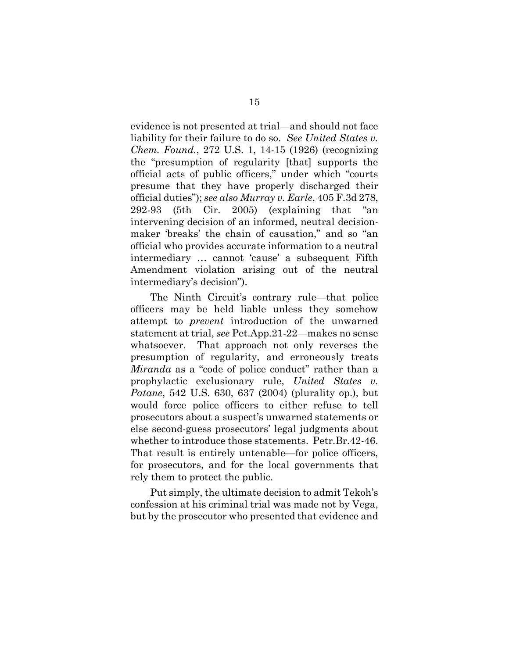evidence is not presented at trial—and should not face liability for their failure to do so. *See United States v. Chem. Found.*, 272 U.S. 1, 14-15 (1926) (recognizing the "presumption of regularity [that] supports the official acts of public officers," under which "courts presume that they have properly discharged their official duties"); *see also Murray v. Earle*, 405 F.3d 278, 292-93 (5th Cir. 2005) (explaining that "an intervening decision of an informed, neutral decisionmaker 'breaks' the chain of causation," and so "an official who provides accurate information to a neutral intermediary … cannot 'cause' a subsequent Fifth Amendment violation arising out of the neutral intermediary's decision").

The Ninth Circuit's contrary rule—that police officers may be held liable unless they somehow attempt to *prevent* introduction of the unwarned statement at trial, *see* Pet.App.21-22—makes no sense whatsoever. That approach not only reverses the presumption of regularity, and erroneously treats *Miranda* as a "code of police conduct" rather than a prophylactic exclusionary rule, *United States v. Patane*, 542 U.S. 630, 637 (2004) (plurality op.), but would force police officers to either refuse to tell prosecutors about a suspect's unwarned statements or else second-guess prosecutors' legal judgments about whether to introduce those statements. Petr.Br.42-46. That result is entirely untenable—for police officers, for prosecutors, and for the local governments that rely them to protect the public.

Put simply, the ultimate decision to admit Tekoh's confession at his criminal trial was made not by Vega, but by the prosecutor who presented that evidence and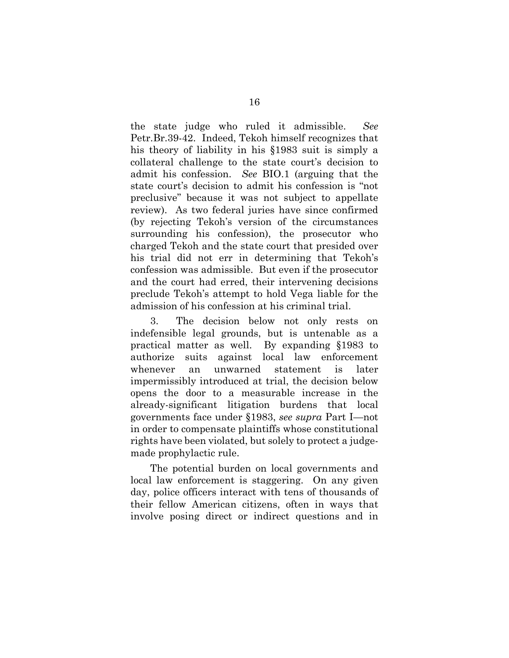the state judge who ruled it admissible. *See*  Petr.Br.39-42. Indeed, Tekoh himself recognizes that his theory of liability in his §1983 suit is simply a collateral challenge to the state court's decision to admit his confession. *See* BIO.1 (arguing that the state court's decision to admit his confession is "not preclusive" because it was not subject to appellate review). As two federal juries have since confirmed (by rejecting Tekoh's version of the circumstances surrounding his confession), the prosecutor who charged Tekoh and the state court that presided over his trial did not err in determining that Tekoh's confession was admissible. But even if the prosecutor and the court had erred, their intervening decisions preclude Tekoh's attempt to hold Vega liable for the admission of his confession at his criminal trial.

3. The decision below not only rests on indefensible legal grounds, but is untenable as a practical matter as well. By expanding §1983 to authorize suits against local law enforcement whenever an unwarned statement is later impermissibly introduced at trial, the decision below opens the door to a measurable increase in the already-significant litigation burdens that local governments face under §1983, *see supra* Part I—not in order to compensate plaintiffs whose constitutional rights have been violated, but solely to protect a judgemade prophylactic rule.

The potential burden on local governments and local law enforcement is staggering. On any given day, police officers interact with tens of thousands of their fellow American citizens, often in ways that involve posing direct or indirect questions and in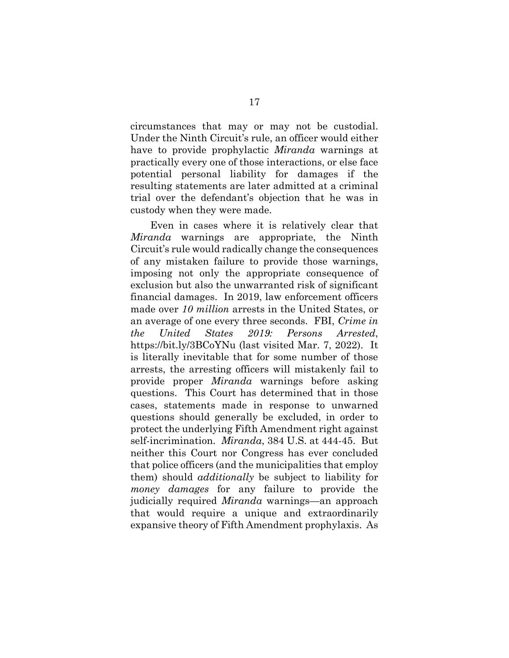circumstances that may or may not be custodial. Under the Ninth Circuit's rule, an officer would either have to provide prophylactic *Miranda* warnings at practically every one of those interactions, or else face potential personal liability for damages if the resulting statements are later admitted at a criminal trial over the defendant's objection that he was in custody when they were made.

Even in cases where it is relatively clear that *Miranda* warnings are appropriate, the Ninth Circuit's rule would radically change the consequences of any mistaken failure to provide those warnings, imposing not only the appropriate consequence of exclusion but also the unwarranted risk of significant financial damages. In 2019, law enforcement officers made over *10 million* arrests in the United States, or an average of one every three seconds. FBI, *Crime in the United States 2019: Persons Arrested*, <https://bit.ly/3BCoYNu> (last visited Mar. 7, 2022). It is literally inevitable that for some number of those arrests, the arresting officers will mistakenly fail to provide proper *Miranda* warnings before asking questions. This Court has determined that in those cases, statements made in response to unwarned questions should generally be excluded, in order to protect the underlying Fifth Amendment right against self-incrimination. *Miranda*, 384 U.S. at 444-45. But neither this Court nor Congress has ever concluded that police officers (and the municipalities that employ them) should *additionally* be subject to liability for *money damages* for any failure to provide the judicially required *Miranda* warnings—an approach that would require a unique and extraordinarily expansive theory of Fifth Amendment prophylaxis. As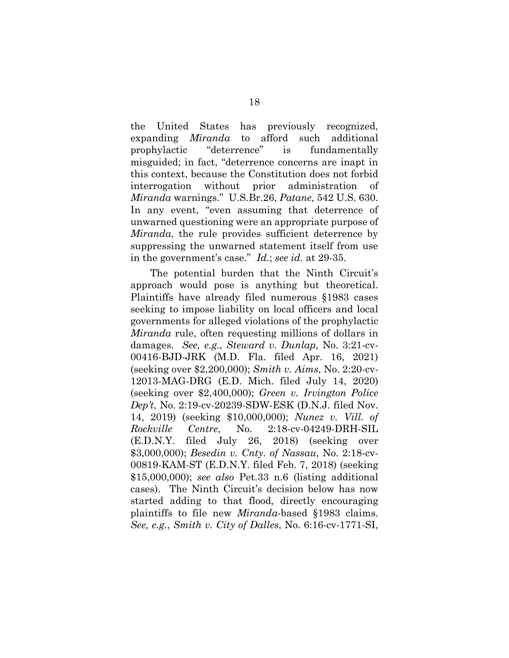the United States has previously recognized, expanding *Miranda* to afford such additional prophylactic "deterrence" is fundamentally misguided; in fact, "deterrence concerns are inapt in this context, because the Constitution does not forbid interrogation without prior administration *Miranda* warnings." U.S.Br.26, *Patane*, 542 U.S. 630. In any event, "even assuming that deterrence of unwarned questioning were an appropriate purpose of *Miranda*, the rule provides sufficient deterrence by suppressing the unwarned statement itself from use in the government's case." *Id.*; *see id.* at 29-35.

The potential burden that the Ninth Circuit's approach would pose is anything but theoretical. Plaintiffs have already filed numerous §1983 cases seeking to impose liability on local officers and local governments for alleged violations of the prophylactic *Miranda* rule, often requesting millions of dollars in damages. *See, e.g.*, *Steward v. Dunlap*, No. 3:21-cv-00416-BJD-JRK (M.D. Fla. filed Apr. 16, 2021) (seeking over \$2,200,000); *Smith v. Aims*, No. 2:20-cv-12013-MAG-DRG (E.D. Mich. filed July 14, 2020) (seeking over \$2,400,000); *Green v. Irvington Police Dep't*, No. 2:19-cv-20239-SDW-ESK (D.N.J. filed Nov. 14, 2019) (seeking \$10,000,000); *Nunez v. Vill. of Rockville Centre*, No. 2:18-cv-04249-DRH-SIL (E.D.N.Y. filed July 26, 2018) (seeking over \$3,000,000); *Besedin v. Cnty. of Nassau*, No. 2:18-cv-00819-KAM-ST (E.D.N.Y. filed Feb. 7, 2018) (seeking \$15,000,000); *see also* Pet.33 n.6 (listing additional cases). The Ninth Circuit's decision below has now started adding to that flood, directly encouraging plaintiffs to file new *Miranda*-based §1983 claims. *See, e.g.*, *Smith v. City of Dalles*, No. 6:16-cv-1771-SI,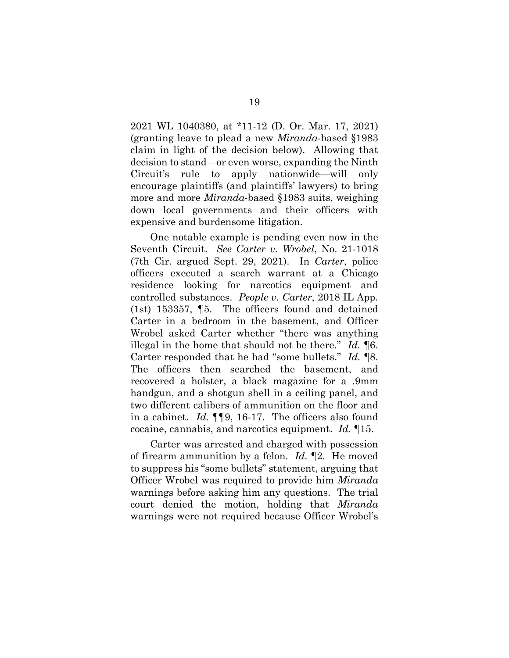2021 WL 1040380, at \*11-12 (D. Or. Mar. 17, 2021) (granting leave to plead a new *Miranda*-based §1983 claim in light of the decision below). Allowing that decision to stand—or even worse, expanding the Ninth Circuit's rule to apply nationwide—will only encourage plaintiffs (and plaintiffs' lawyers) to bring more and more *Miranda*-based §1983 suits, weighing down local governments and their officers with expensive and burdensome litigation.

One notable example is pending even now in the Seventh Circuit. *See Carter v. Wrobel*, No. 21-1018 (7th Cir. argued Sept. 29, 2021). In *Carter*, police officers executed a search warrant at a Chicago residence looking for narcotics equipment and controlled substances. *People v. Carter*, 2018 IL App. (1st) 153357, ¶5. The officers found and detained Carter in a bedroom in the basement, and Officer Wrobel asked Carter whether "there was anything illegal in the home that should not be there." *Id.* ¶6. Carter responded that he had "some bullets." *Id.* ¶8. The officers then searched the basement, and recovered a holster, a black magazine for a .9mm handgun, and a shotgun shell in a ceiling panel, and two different calibers of ammunition on the floor and in a cabinet. *Id.* ¶¶9, 16-17. The officers also found cocaine, cannabis, and narcotics equipment. *Id.* ¶15.

Carter was arrested and charged with possession of firearm ammunition by a felon. *Id.* ¶2. He moved to suppress his "some bullets" statement, arguing that Officer Wrobel was required to provide him *Miranda* warnings before asking him any questions. The trial court denied the motion, holding that *Miranda*  warnings were not required because Officer Wrobel's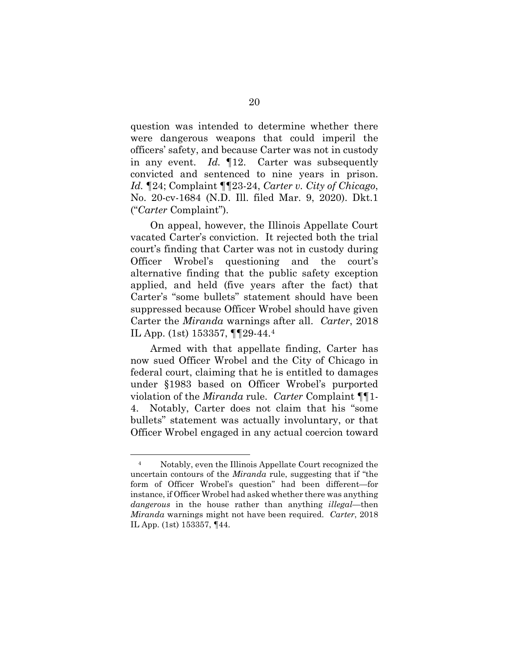question was intended to determine whether there were dangerous weapons that could imperil the officers' safety, and because Carter was not in custody in any event. *Id.* ¶12. Carter was subsequently convicted and sentenced to nine years in prison. *Id.* ¶24; Complaint ¶¶23-24, *Carter v. City of Chicago*, No. 20-cv-1684 (N.D. Ill. filed Mar. 9, 2020). Dkt.1 ("*Carter* Complaint").

On appeal, however, the Illinois Appellate Court vacated Carter's conviction. It rejected both the trial court's finding that Carter was not in custody during Officer Wrobel's questioning and the court's alternative finding that the public safety exception applied, and held (five years after the fact) that Carter's "some bullets" statement should have been suppressed because Officer Wrobel should have given Carter the *Miranda* warnings after all. *Carter*, 2018 IL App. (1st) 153357, ¶¶29-44.[4](#page-29-0) 

Armed with that appellate finding, Carter has now sued Officer Wrobel and the City of Chicago in federal court, claiming that he is entitled to damages under §1983 based on Officer Wrobel's purported violation of the *Miranda* rule. *Carter* Complaint ¶¶1- 4. Notably, Carter does not claim that his "some bullets" statement was actually involuntary, or that Officer Wrobel engaged in any actual coercion toward

<u>.</u>

<sup>4</sup> Notably, even the Illinois Appellate Court recognized the uncertain contours of the *Miranda* rule, suggesting that if "the form of Officer Wrobel's question" had been different—for instance, if Officer Wrobel had asked whether there was anything *dangerous* in the house rather than anything *illegal*—then *Miranda* warnings might not have been required. *Carter*, 2018 IL App. (1st) 153357, ¶44.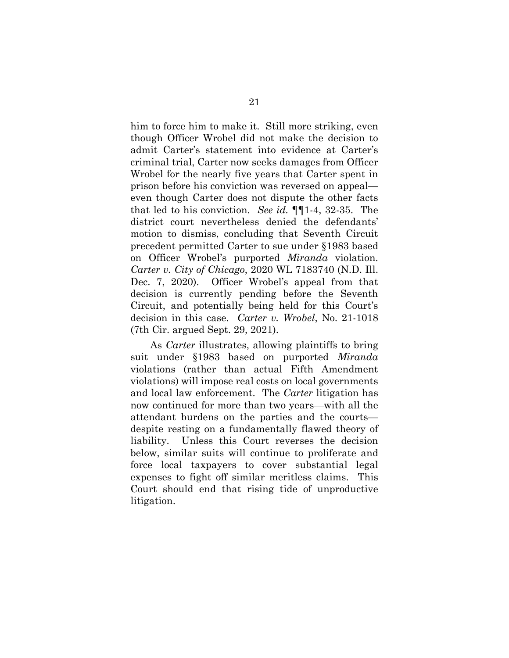him to force him to make it. Still more striking, even though Officer Wrobel did not make the decision to admit Carter's statement into evidence at Carter's criminal trial, Carter now seeks damages from Officer Wrobel for the nearly five years that Carter spent in prison before his conviction was reversed on appeal even though Carter does not dispute the other facts that led to his conviction. *See id.* ¶¶1-4, 32-35. The district court nevertheless denied the defendants' motion to dismiss, concluding that Seventh Circuit precedent permitted Carter to sue under §1983 based on Officer Wrobel's purported *Miranda* violation. *Carter v. City of Chicago*, 2020 WL 7183740 (N.D. Ill. Dec. 7, 2020). Officer Wrobel's appeal from that decision is currently pending before the Seventh Circuit, and potentially being held for this Court's decision in this case. *Carter v. Wrobel*, No. 21-1018 (7th Cir. argued Sept. 29, 2021).

As *Carter* illustrates, allowing plaintiffs to bring suit under §1983 based on purported *Miranda* violations (rather than actual Fifth Amendment violations) will impose real costs on local governments and local law enforcement. The *Carter* litigation has now continued for more than two years—with all the attendant burdens on the parties and the courts despite resting on a fundamentally flawed theory of liability. Unless this Court reverses the decision below, similar suits will continue to proliferate and force local taxpayers to cover substantial legal expenses to fight off similar meritless claims. This Court should end that rising tide of unproductive litigation.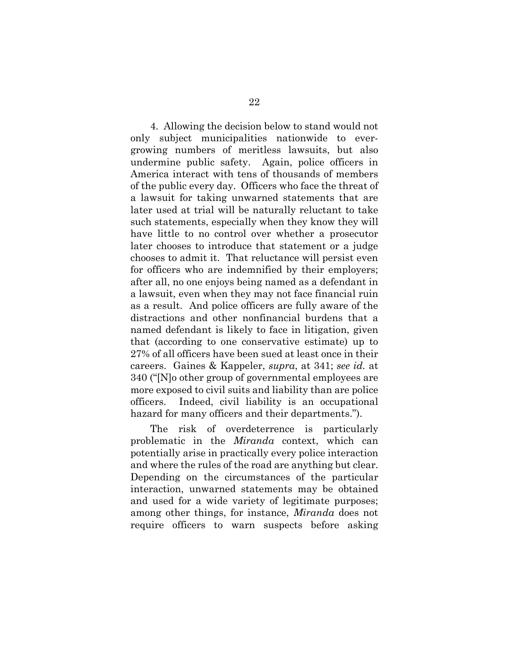4. Allowing the decision below to stand would not only subject municipalities nationwide to evergrowing numbers of meritless lawsuits, but also undermine public safety. Again, police officers in America interact with tens of thousands of members of the public every day. Officers who face the threat of a lawsuit for taking unwarned statements that are later used at trial will be naturally reluctant to take such statements, especially when they know they will have little to no control over whether a prosecutor later chooses to introduce that statement or a judge chooses to admit it. That reluctance will persist even for officers who are indemnified by their employers; after all, no one enjoys being named as a defendant in a lawsuit, even when they may not face financial ruin as a result. And police officers are fully aware of the distractions and other nonfinancial burdens that a named defendant is likely to face in litigation, given that (according to one conservative estimate) up to 27% of all officers have been sued at least once in their careers. Gaines & Kappeler, *supra*, at 341; *see id.* at 340 ("[N]o other group of governmental employees are more exposed to civil suits and liability than are police officers. Indeed, civil liability is an occupational hazard for many officers and their departments.").

The risk of overdeterrence is particularly problematic in the *Miranda* context, which can potentially arise in practically every police interaction and where the rules of the road are anything but clear. Depending on the circumstances of the particular interaction, unwarned statements may be obtained and used for a wide variety of legitimate purposes; among other things, for instance, *Miranda* does not require officers to warn suspects before asking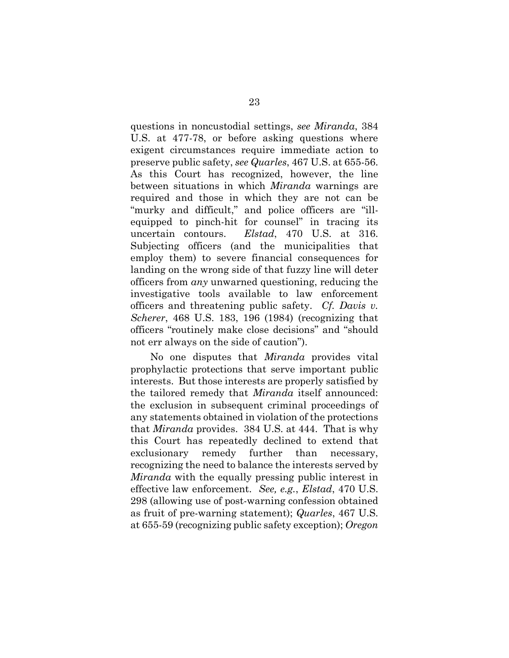questions in noncustodial settings, *see Miranda*, 384 U.S. at 477-78, or before asking questions where exigent circumstances require immediate action to preserve public safety, *see Quarles*, 467 U.S. at 655-56. As this Court has recognized, however, the line between situations in which *Miranda* warnings are required and those in which they are not can be "murky and difficult," and police officers are "illequipped to pinch-hit for counsel" in tracing its uncertain contours. *Elstad*, 470 U.S. at 316. Subjecting officers (and the municipalities that employ them) to severe financial consequences for landing on the wrong side of that fuzzy line will deter officers from *any* unwarned questioning, reducing the investigative tools available to law enforcement officers and threatening public safety. *Cf. Davis v. Scherer*, 468 U.S. 183, 196 (1984) (recognizing that officers "routinely make close decisions" and "should not err always on the side of caution").

<span id="page-29-0"></span>No one disputes that *Miranda* provides vital prophylactic protections that serve important public interests. But those interests are properly satisfied by the tailored remedy that *Miranda* itself announced: the exclusion in subsequent criminal proceedings of any statements obtained in violation of the protections that *Miranda* provides. 384 U.S. at 444. That is why this Court has repeatedly declined to extend that exclusionary remedy further than necessary, recognizing the need to balance the interests served by *Miranda* with the equally pressing public interest in effective law enforcement. *See, e.g.*, *Elstad*, 470 U.S. 298 (allowing use of post-warning confession obtained as fruit of pre-warning statement); *Quarles*, 467 U.S. at 655-59 (recognizing public safety exception); *Oregon*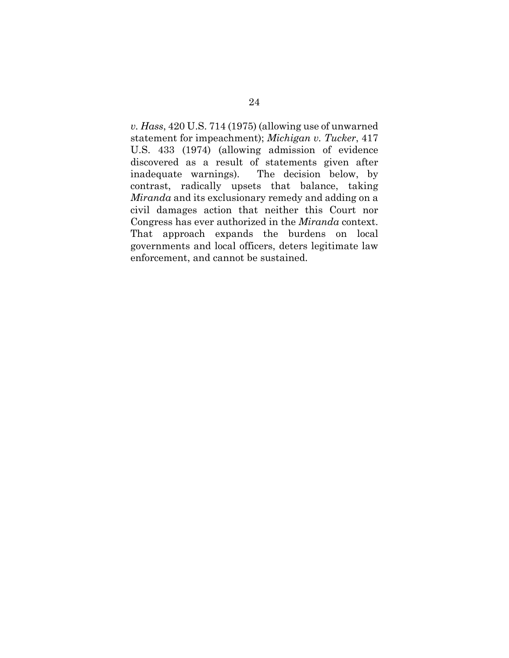*v. Hass*, 420 U.S. 714 (1975) (allowing use of unwarned statement for impeachment); *Michigan v. Tucker*, 417 U.S. 433 (1974) (allowing admission of evidence discovered as a result of statements given after inadequate warnings). The decision below, by contrast, radically upsets that balance, taking *Miranda* and its exclusionary remedy and adding on a civil damages action that neither this Court nor Congress has ever authorized in the *Miranda* context. That approach expands the burdens on local governments and local officers, deters legitimate law enforcement, and cannot be sustained.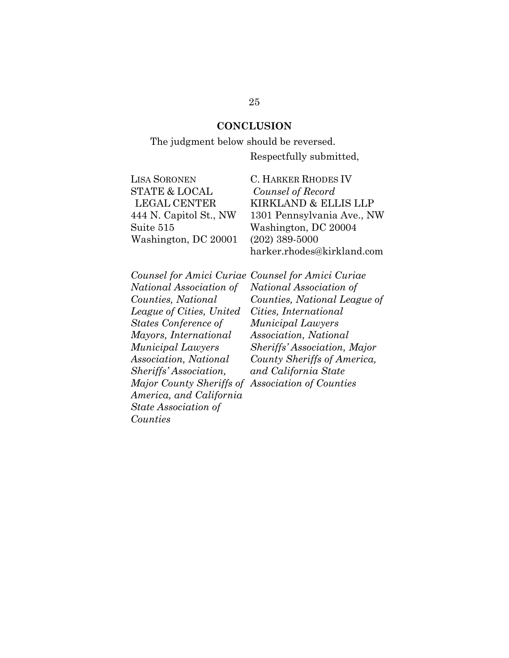### **CONCLUSION**

### The judgment below should be reversed.

Respectfully submitted,

| <b>LISA SORONEN</b>      | <b>C. HARKER RHODES IV</b> |
|--------------------------|----------------------------|
| <b>STATE &amp; LOCAL</b> | Counsel of Record          |
| LEGAL CENTER             | KIRKLAND & ELLIS LLP       |
| 444 N. Capitol St., NW   | 1301 Pennsylvania Ave., NW |
| Suite 515                | Washington, DC 20004       |
| Washington, DC 20001     | $(202)$ 389-5000           |
|                          | harker.rhodes@kirkland.com |

*National Association of Counties, National League of Cities, United States Conference of Mayors, International Municipal Lawyers Association, National Sheriffs' Association, Major County Sheriffs of Association of CountiesAmerica, and California State Association of Counties*

*Counsel for Amici Curiae Counsel for Amici Curiae National Association of Counties, National League of Cities, International Municipal Lawyers Association, National Sheriffs' Association, Major County Sheriffs of America, and California State*